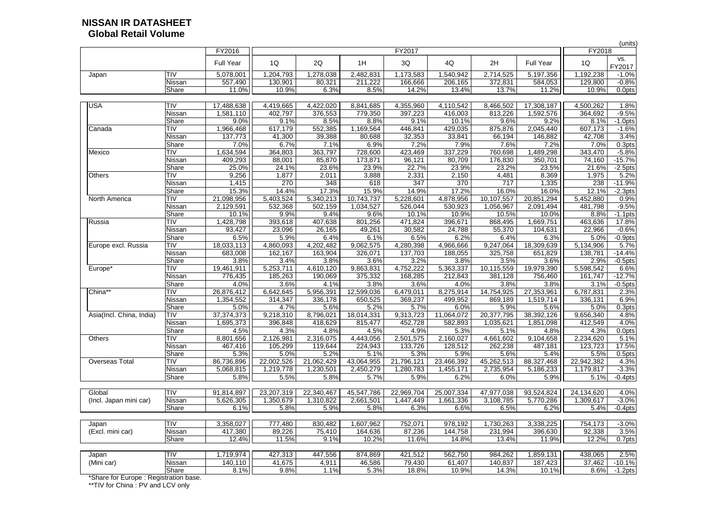|                                       |                 |                   |                      |                        |                       |                        |                 |                   |                        |                 | (units)                    |
|---------------------------------------|-----------------|-------------------|----------------------|------------------------|-----------------------|------------------------|-----------------|-------------------|------------------------|-----------------|----------------------------|
|                                       |                 | FY2016            |                      |                        |                       | FY2017                 |                 |                   |                        | FY2018          |                            |
|                                       |                 | <b>Full Year</b>  | 1Q                   | 2Q                     | 1H                    | 3Q                     | 4Q              | 2H                | <b>Full Year</b>       | 1Q              | VS.<br>FY2017              |
| Japan                                 | <b>TIV</b>      | 5,078,001         | 1,204,793            | 1,278,038              | 2,482,831             | 1,173,583              | ,540,942        | 2,714,525         | 5,197,356              | 1,192,238       | $-1.0%$                    |
|                                       | Nissan          | 557,490           | 130,901              | 80,321                 | 211,222               | 166,666                | 206,165         | 372,831           | 584,053                | 129,800         | $-0.8%$                    |
|                                       | Share           | 11.0%             | 10.9%                | 6.3%                   | 8.5%                  | 14.2%                  | 13.4%           | 13.7%             | 11.2%                  | 10.9%           | 0.0pts                     |
| <b>USA</b>                            | TIV             | 17,488,638        | 4,419,665            | 4,422,020              | 8,841,685             | 4,355,960              | 4,110,542       | 8,466,502         | 17,308,187             | 4,500,262       | 1.8%                       |
|                                       | Nissan          | 1,581,110         | 402,797              | 376,553                | 779,350               | 397,223                | 416,003         | 813,226           | 1,592,576              | 364,692         | $-9.5%$                    |
|                                       | Share           | 9.0%              | 9.1%                 | 8.5%                   | 8.8%                  | 9.1%                   | 10.1%           | 9.6%              | 9.2%                   | 8.1%            | $-1.0$ pts                 |
| Canada                                | TIV             | 966,468           | 617,179              | 552,385                | 1,169,564             | 446,841                | 429,035         | 875,876           | 2,045,440              | 607,173         | $-1.6%$                    |
|                                       | Nissan          | 137,773           | 41,300               | 39,388                 | 80,688                | 32,353                 | 33,841          | 66,194            | 146,882                | 42,708          | 3.4%                       |
|                                       | Share           | 7.0%              | 6.7%                 | 7.1%                   | 6.9%                  | 7.2%                   | 7.9%            | 7.6%              | 7.2%                   | 7.0%            | 0.3pts                     |
| Mexico                                | TIV             | 1,634,594         | 364,803              | 363,797                | 728,600               | 423,469                | 337,229         | 760,698           | 1,489,298              | 343,470         | $-5.8%$                    |
|                                       | Nissan          | 409,293           | 88,001               | 85,870                 | 173,871               | 96,121                 | 80,709          | 176,830           | 350,701                | 74,160          | $-15.7%$                   |
|                                       | Share           | 25.0%             | 24.1%                | 23.6%                  | 23.9%                 | 22.7%                  | 23.9%           | 23.2%             | 23.5%                  | 21.6%           | $-2.5$ pts                 |
| <b>Others</b>                         | TIV             | 9,256             | 1,877                | 2,011                  | 3,888                 | 2,331                  | 2,150           | 4,481             | 8,369                  | 1,975           | 5.2%                       |
|                                       | Nissan          | 1,415             | 270                  | 348                    | 618                   | 347                    | 370             | 717               | 1,335                  | 238             | $-11.9%$                   |
|                                       | Share           | 15.3%             | 14.4%                | 17.3%                  | 15.9%                 | 14.9%                  | 17.2%           | 16.0%             | 16.0%                  | 12.1%           | $-2.3pts$                  |
| <b>North America</b>                  | TIV             | 21,098,956        | 5,403,524            | 5,340,213              | 10,743,737            | 5,228,601              | 4,878,956       | 10,107,557        | 20,851,294             | 5,452,880       | 0.9%                       |
|                                       | Nissan          | 2,129,591         | 532,368              | 502,159                | 1,034,527             | 526,044                | 530,923         | 1,056,967         | 2,091,494              | 481,798         | $-9.5%$                    |
|                                       | Share           | 10.1%             | 9.9%                 | 9.4%                   | 9.6%                  | 10.1%                  | 10.9%           | 10.5%             | 10.0%                  | 8.8%            | $-1.1$ pts                 |
| Russia                                | <b>TIV</b>      | 1,428,798         | 393,618              | 407,638                | 801,256               | 471,824                | 396,671         | 868,495           | 1,669,751              | 463,636         | 17.8%                      |
|                                       | Nissan          | 93,427            | 23,096               | 26,165                 | 49,261                | 30,582                 | 24,788          | 55,370            | 104,631                | 22,966          | $-0.6%$                    |
|                                       | Share           | 6.5%              | 5.9%                 | 6.4%                   | 6.1%                  | 6.5%                   | 6.2%            | 6.4%              | 6.3%                   | 5.0%            | $-0.9$ pts                 |
| Europe excl. Russia                   | TIV             | 18,033,113        | 4,860,093            | 4,202,482              | 9,062,575             | 4,280,398              | 4,966,666       | 9,247,064         | 18,309,639             | 5,134,906       | 5.7%                       |
|                                       | Nissan          | 683,008           | 162,167              | 163,904                | 326,071               | 137,703                | 188,055         | 325,758           | 651,829                | 138,781         | $-14.4%$                   |
|                                       | Share           | 3.8%              | 3.4%                 | 3.8%                   | 3.6%                  | 3.2%                   | 3.8%            | 3.5%              | 3.6%                   | 2.9%            | $-0.5$ pts                 |
| Europe <sup>*</sup>                   | TIV             | 19,461,911        | 5,253,711            | 4,610,120              | 9,863,831             | $\overline{4,}752,222$ | 5,363,337       | 10,115,559        | 19,979,390             | 5,598,542       | 6.6%                       |
|                                       | Nissan          | 776,435           | 185,263              | 190,069                | 375,332               | 168,285                | 212,843         | 381,128           | 756,460                | 161,747         | $-12.7%$                   |
|                                       | Share           | 4.0%              | 3.6%                 | 4.1%                   | 3.8%                  | 3.6%                   | 4.0%            | 3.8%              | 3.8%                   | 3.1%            | $-0.5$ pts                 |
| China**                               | <b>TIV</b>      | 26,876,412        | 6,642,645            | $\overline{5,956,391}$ | 12,599,036            | 6,479,011              | 8,275,914       | 14,754,925        | 27,353,961             | 6,787,831       | 2.3%                       |
|                                       | Nissan<br>Share | 1,354,552<br>5.0% | 314,347<br>4.7%      | 336,178<br>5.6%        | 650,525<br>5.2%       | 369,237<br>5.7%        | 499,952<br>6.0% | 869,189<br>5.9%   | 1,519,714<br>5.6%      | 336,131<br>5.0% | 6.9%<br>0.3 <sub>pts</sub> |
|                                       |                 |                   |                      |                        |                       |                        |                 |                   |                        |                 |                            |
| Asia(Incl. China, India)              | TIV             | 37, 374, 373      | 9,218,310<br>396,848 | 8,796,021              | 18,014,331<br>815,477 | 9,313,723<br>452,728   | 11,064,072      | 20,377,795        | 38,392,126             | 9,656,340       | 4.8%<br>4.0%               |
|                                       | Nissan<br>Share | 1,695,373<br>4.5% | 4.3%                 | 418,629<br>4.8%        | 4.5%                  | 4.9%                   | 582,893<br>5.3% | 1,035,621<br>5.1% | 1,851,098<br>4.8%      | 412,549<br>4.3% | 0.0pts                     |
| <b>Others</b>                         | TIV             | 8,801,656         | 2,126,981            | 2,316,075              | 4,443,056             | 2,501,575              | 2,160,027       | 4,661,602         | $\overline{9,}104,658$ | 2,234,620       | 5.1%                       |
|                                       | Nissan          | 467,416           | 105,299              | 119,644                | 224,943               | 133,726                | 128,512         | 262,238           | 487,181                | 123,723         | 17.5%                      |
|                                       | Share           | 5.3%              | 5.0%                 | 5.2%                   | 5.1%                  | 5.3%                   | 5.9%            | 5.6%              | 5.4%                   | 5.5%            | 0.5 <sub>pts</sub>         |
| <b>Overseas Total</b>                 | TIV             | 86,736,896        | 22,002,526           | 21,062,429             | 43,064,955            | 21,796,121             | 23,466,392      | 45,262,513        | 88,327,468             | 22,942,382      | 4.3%                       |
|                                       | Nissan          | 5,068,815         | 1,219,778            | 1,230,501              | 2,450,279             | 1,280,783              | 1,455,171       | 2,735,954         | 5,186,233              | 1,179,817       | $-3.3%$                    |
|                                       | Share           | 5.8%              | 5.5%                 | 5.8%                   | 5.7%                  | 5.9%                   | 6.2%            | 6.0%              | 5.9%                   | 5.1%            | $-0.4$ pts                 |
|                                       |                 |                   |                      |                        |                       |                        |                 |                   |                        |                 |                            |
| Global                                | TIV             | 91,814,897        | 23,207,319           | 22,340,467             | 45,547,786            | 22,969,704             | 25,007,334      | 47,977,038        | 93,524,824             | 24,134,620      | 4.0%                       |
| (Incl. Japan mini car)                | Nissan          | 5,626,305         | 1,350,679            | 1,310,822              | 2,661,501             | 1,447,449              | 1,661,336       | 3,108,785         | 5,770,286              | 1,309,617       | $-3.0%$                    |
|                                       | Share           | 6.1%              | 5.8%                 | 5.9%                   | 5.8%                  | 6.3%                   | 6.6%            | 6.5%              | 6.2%                   | 5.4%            | $-0.4$ pts                 |
|                                       |                 |                   |                      |                        |                       |                        |                 |                   |                        |                 |                            |
| Japan                                 | TIV             | 3,358,027         | 777,480              | 830,482                | 1,607,962             | 752,071                | 978,192         | 1,730,263         | 3,338,225              | 754,173         | $-3.0%$                    |
| (Excl. mini car)                      | Nissan          | 417,380           | 89,226               | 75,410                 | 164,636               | 87,236                 | 144,758         | 231,994           | 396,630                | 92,338          | 3.5%                       |
|                                       | Share           | 12.4%             | 11.5%                | 9.1%                   | 10.2%                 | 11.6%                  | 14.8%           | 13.4%             | 11.9%                  | 12.2%           | 0.7pts                     |
| Japan                                 | <b>TIV</b>      | 1,719,974         | 427,313              | 447,556                | 874,869               | 421,512                | 562,750         | 984,262           | 1,859,131              | 438,065         | 2.5%                       |
| (Mini car)                            | Nissan          | 140,110           | 41,675               | 4,911                  | 46,586                | 79,430                 | 61,407          | 140,837           | 187,423                | 37,462          | $-10.1%$                   |
|                                       | Share           | 8.1%              | 9.8%                 | 1.1%                   | 5.3%                  | 18.8%                  | 10.9%           | 14.3%             | 10.1%                  | $8.6\%$         | $-1.2$ pts                 |
| *Share for Europe: Registration base. |                 |                   |                      |                        |                       |                        |                 |                   |                        |                 |                            |

#### **NISSAN IR DATASHEET Global Retail Volume**

\*\*TIV for China : PV and LCV onl y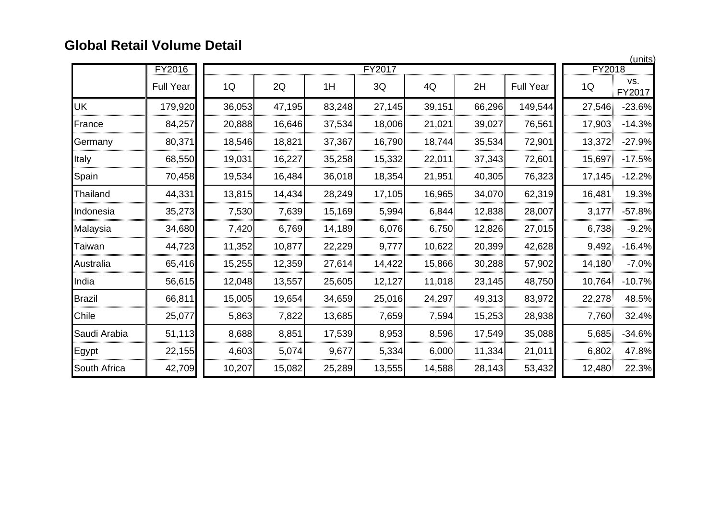## **Global Retail Volume Detail**

|               | FY2016           |        |        |        | FY2017 |        |        |                  | FY2018 | (units)       |
|---------------|------------------|--------|--------|--------|--------|--------|--------|------------------|--------|---------------|
|               | <b>Full Year</b> | 1Q     | 2Q     | 1H     | 3Q     | 4Q     | 2H     | <b>Full Year</b> | 1Q     | VS.<br>FY2017 |
| UK            | 179,920          | 36,053 | 47,195 | 83,248 | 27,145 | 39,151 | 66,296 | 149,544          | 27,546 | $-23.6%$      |
| France        | 84,257           | 20,888 | 16,646 | 37,534 | 18,006 | 21,021 | 39,027 | 76,561           | 17,903 | $-14.3%$      |
| Germany       | 80,371           | 18,546 | 18,821 | 37,367 | 16,790 | 18,744 | 35,534 | 72,901           | 13,372 | $-27.9%$      |
| Italy         | 68,550           | 19,031 | 16,227 | 35,258 | 15,332 | 22,011 | 37,343 | 72,601           | 15,697 | $-17.5%$      |
| Spain         | 70,458           | 19,534 | 16,484 | 36,018 | 18,354 | 21,951 | 40,305 | 76,323           | 17,145 | $-12.2%$      |
| Thailand      | 44,331           | 13,815 | 14,434 | 28,249 | 17,105 | 16,965 | 34,070 | 62,319           | 16,481 | 19.3%         |
| Indonesia     | 35,273           | 7,530  | 7,639  | 15,169 | 5,994  | 6,844  | 12,838 | 28,007           | 3,177  | $-57.8%$      |
| Malaysia      | 34,680           | 7,420  | 6,769  | 14,189 | 6,076  | 6,750  | 12,826 | 27,015           | 6,738  | $-9.2%$       |
| Taiwan        | 44,723           | 11,352 | 10,877 | 22,229 | 9,777  | 10,622 | 20,399 | 42,628           | 9,492  | $-16.4%$      |
| Australia     | 65,416           | 15,255 | 12,359 | 27,614 | 14,422 | 15,866 | 30,288 | 57,902           | 14,180 | $-7.0%$       |
| India         | 56,615           | 12,048 | 13,557 | 25,605 | 12,127 | 11,018 | 23,145 | 48,750           | 10,764 | $-10.7%$      |
| <b>Brazil</b> | 66,811           | 15,005 | 19,654 | 34,659 | 25,016 | 24,297 | 49,313 | 83,972           | 22,278 | 48.5%         |
| Chile         | 25,077           | 5,863  | 7,822  | 13,685 | 7,659  | 7,594  | 15,253 | 28,938           | 7,760  | 32.4%         |
| Saudi Arabia  | 51,113           | 8,688  | 8,851  | 17,539 | 8,953  | 8,596  | 17,549 | 35,088           | 5,685  | $-34.6%$      |
| Egypt         | 22,155           | 4,603  | 5,074  | 9,677  | 5,334  | 6,000  | 11,334 | 21,011           | 6,802  | 47.8%         |
| South Africa  | 42,709           | 10,207 | 15,082 | 25,289 | 13,555 | 14,588 | 28,143 | 53,432           | 12,480 | 22.3%         |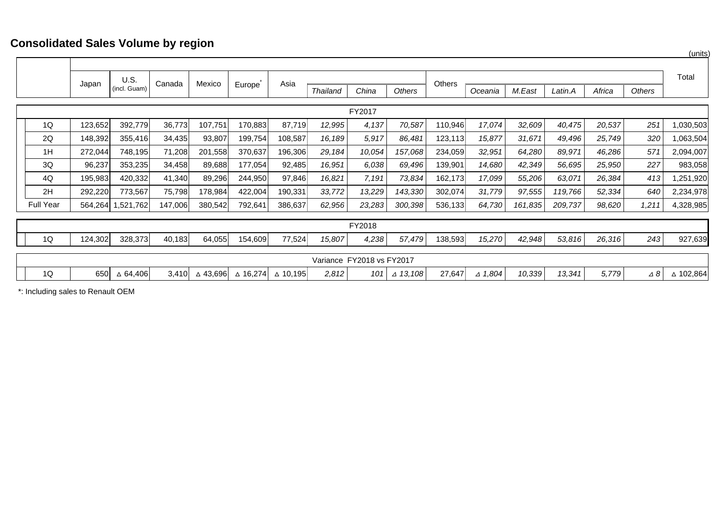### **Consolidated Sales Volume by region**

|                  |         |                             |         |          |          |          |                           |        |                    |         |                   |         |         |        |               | uuu       |
|------------------|---------|-----------------------------|---------|----------|----------|----------|---------------------------|--------|--------------------|---------|-------------------|---------|---------|--------|---------------|-----------|
|                  |         |                             |         |          |          |          |                           |        |                    |         |                   |         |         |        |               |           |
|                  | Japan   | <b>U.S.</b><br>(incl. Guam) | Canada  | Mexico   | Europe   | Asia     | <b>Thailand</b>           | China  | <b>Others</b>      | Others  | Oceania           | M.East  | Latin.A | Africa | <b>Others</b> | Total     |
|                  |         |                             |         |          |          |          |                           |        |                    |         |                   |         |         |        |               |           |
| FY2017           |         |                             |         |          |          |          |                           |        |                    |         |                   |         |         |        |               |           |
| 1Q               | 123,652 | 392,779                     | 36,773  | 107,751  | 170,883  | 87,719   | 12,995                    | 4,137  | 70,587             | 110,946 | 17,074            | 32,609  | 40,475  | 20,537 | 251           | 1,030,503 |
| 2Q               | 148,392 | 355,416                     | 34,435  | 93,807   | 199,754  | 108,587  | 16,189                    | 5,917  | 86,481             | 123,113 | 15,877            | 31,671  | 49,496  | 25,749 | 320           | 1,063,504 |
| 1H               | 272,044 | 748,195                     | 71,208  | 201,558  | 370,637  | 196,306  | 29,184                    | 10,054 | 157,068            | 234,059 | 32,951            | 64,280  | 89,971  | 46,286 | 571           | 2,094,007 |
| 3Q               | 96,237  | 353,235                     | 34,458  | 89,688   | 177,054  | 92,485   | 16,951                    | 6,038  | 69,496             | 139,901 | 14,680            | 42,349  | 56,695  | 25,950 | 227           | 983,058   |
| 4Q               | 195,983 | 420,332                     | 41,340  | 89,296   | 244,950  | 97,846   | 16,821                    | 7,191  | 73,834             | 162,173 | 17,099            | 55,206  | 63,071  | 26,384 | 413           | 1,251,920 |
| 2H               | 292,220 | 773,567                     | 75,798  | 178,984  | 422,004  | 190,331  | 33,772                    | 13,229 | 143,330            | 302,074 | 31,779            | 97,555  | 119,766 | 52,334 | 640           | 2,234,978 |
| <b>Full Year</b> | 564,264 | 1,521,762                   | 147,006 | 380,542  | 792,641  | 386,637  | 62,956                    | 23,283 | 300,398            | 536,133 | 64,730            | 161,835 | 209,737 | 98,620 | 1,211         | 4,328,985 |
|                  |         |                             |         |          |          |          |                           |        |                    |         |                   |         |         |        |               |           |
|                  |         |                             |         |          |          |          |                           | FY2018 |                    |         |                   |         |         |        |               |           |
| 1Q               | 124,302 | 328,373                     | 40,183  | 64,055   | 154,609  | 77,524   | 15,807                    | 4,238  | 57,479             | 138,593 | 15,270            | 42,948  | 53,816  | 26,316 | 243           | 927,639   |
|                  |         |                             |         |          |          |          |                           |        |                    |         |                   |         |         |        |               |           |
|                  |         |                             |         |          |          |          | Variance FY2018 vs FY2017 |        |                    |         |                   |         |         |        |               |           |
| 1Q               | 650     | $\triangle$ 64,406          | 3,410   | △ 43,696 | ∆ 16,274 | △ 10,195 | 2,812                     | 101    | $\triangle$ 13,108 | 27,647  | $\triangle$ 1,804 | 10,339  | 13,341  | 5,779  | $\triangle$ 8 | ∆ 102,864 |

\*: Including sales to Renault OEM

(units)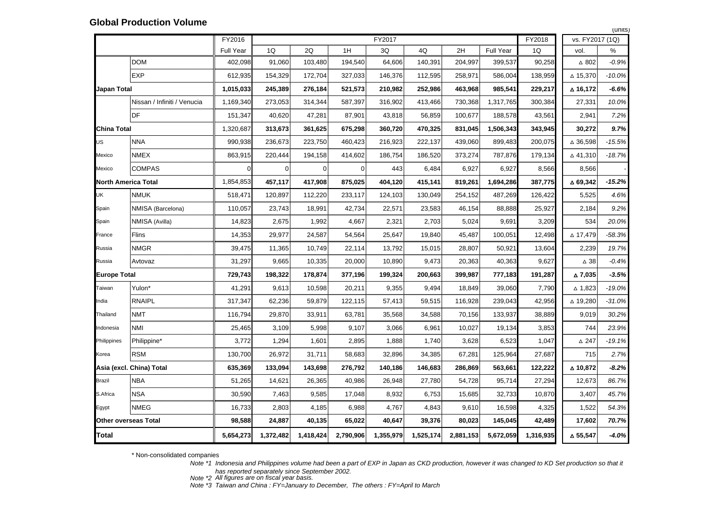|                            |                             | FY2016           |                |           |           | FY2017    |           |           |                  | FY2018    | vs. FY2017 (1Q)    |          |
|----------------------------|-----------------------------|------------------|----------------|-----------|-----------|-----------|-----------|-----------|------------------|-----------|--------------------|----------|
|                            |                             | <b>Full Year</b> | 1Q             | 2Q        | 1H        | 3Q        | 4Q        | 2H        | <b>Full Year</b> | 1Q        | vol.               | %        |
|                            | <b>DOM</b>                  | 402,098          | 91,060         | 103,480   | 194,540   | 64,606    | 140,391   | 204,997   | 399,537          | 90,258    | $\Delta$ 802       | $-0.9%$  |
|                            | <b>EXP</b>                  | 612,935          | 154,329        | 172,704   | 327,033   | 146,376   | 112,595   | 258,971   | 586,004          | 138,959   | △ 15,370           | $-10.0%$ |
| <b>Japan Total</b>         |                             | 1,015,033        | 245,389        | 276,184   | 521,573   | 210,982   | 252,986   | 463,968   | 985,541          | 229,217   | ∆ 16,172           | $-6.6%$  |
|                            | Nissan / Infiniti / Venucia | 1,169,340        | 273,053        | 314,344   | 587,397   | 316,902   | 413,466   | 730,368   | 1,317,765        | 300,384   | 27,331             | 10.0%    |
|                            | DF                          | 151,347          | 40,620         | 47,281    | 87,901    | 43,818    | 56,859    | 100,677   | 188,578          | 43,561    | 2,941              | 7.2%     |
| <b>China Total</b>         |                             | 1,320,687        | 313,673        | 361,625   | 675,298   | 360,720   | 470,325   | 831,045   | 1,506,343        | 343,945   | 30,272             | 9.7%     |
| <b>US</b>                  | <b>NNA</b>                  | 990,938          | 236,673        | 223,750   | 460,423   | 216,923   | 222,137   | 439,060   | 899,483          | 200,075   | $\Delta$ 36,598    | $-15.5%$ |
| Mexico                     | <b>NMEX</b>                 | 863,915          | 220,444        | 194,158   | 414,602   | 186,754   | 186,520   | 373,274   | 787,876          | 179,134   | △41,310            | $-18.7%$ |
| Mexico                     | <b>COMPAS</b>               |                  | $\overline{0}$ | 0         | $\Omega$  | 443       | 6,484     | 6,927     | 6,927            | 8,566     | 8,566              |          |
| <b>North America Total</b> |                             | 1,854,853        | 457,117        | 417,908   | 875,025   | 404,120   | 415,141   | 819,261   | 1,694,286        | 387,775   | $\triangle$ 69,342 | $-15.2%$ |
| UK                         | <b>NMUK</b>                 | 518,471          | 120,897        | 112,220   | 233,117   | 124,103   | 130,049   | 254,152   | 487,269          | 126,422   | 5,525              | 4.6%     |
| Spain                      | NMISA (Barcelona)           | 110,057          | 23,743         | 18,991    | 42,734    | 22,571    | 23,583    | 46,154    | 88,888           | 25,927    | 2,184              | 9.2%     |
| Spain                      | NMISA (Avilla)              | 14,823           | 2,675          | 1,992     | 4,667     | 2,321     | 2,703     | 5,024     | 9,691            | 3,209     | 534                | 20.0%    |
| France                     | Flins                       | 14,353           | 29,977         | 24,587    | 54,564    | 25,647    | 19,840    | 45,487    | 100,051          | 12,498    | △ 17,479           | $-58.3%$ |
| Russia                     | <b>NMGR</b>                 | 39,475           | 11,365         | 10,749    | 22,114    | 13,792    | 15,015    | 28,807    | 50,921           | 13,604    | 2,239              | 19.7%    |
| Russia                     | Avtovaz                     | 31,297           | 9,665          | 10,335    | 20,000    | 10,890    | 9,473     | 20,363    | 40,363           | 9,627     | $\Delta$ 38        | $-0.4%$  |
| <b>Europe Total</b>        |                             | 729,743          | 198,322        | 178,874   | 377,196   | 199,324   | 200,663   | 399,987   | 777,183          | 191,287   | △ 7,035            | $-3.5%$  |
| Taiwan                     | Yulon*                      | 41,291           | 9,613          | 10,598    | 20,211    | 9,355     | 9,494     | 18,849    | 39,060           | 7,790     | $\Delta$ 1,823     | $-19.0%$ |
| India                      | <b>RNAIPL</b>               | 317,347          | 62,236         | 59,879    | 122,115   | 57,413    | 59,515    | 116,928   | 239,043          | 42,956    | $\triangle$ 19,280 | $-31.0%$ |
| Thailand                   | <b>NMT</b>                  | 116,794          | 29,870         | 33,911    | 63,781    | 35,568    | 34,588    | 70,156    | 133,937          | 38,889    | 9,019              | 30.2%    |
| Indonesia                  | <b>NMI</b>                  | 25,465           | 3,109          | 5,998     | 9,107     | 3,066     | 6,961     | 10,027    | 19,134           | 3,853     | 744                | 23.9%    |
| Philippines                | Philippine*                 | 3,772            | 1,294          | 1,601     | 2,895     | 1,888     | 1,740     | 3,628     | 6,523            | 1,047     | $\Delta$ 247       | $-19.1%$ |
| Korea                      | <b>RSM</b>                  | 130,700          | 26,972         | 31,711    | 58,683    | 32,896    | 34,385    | 67,281    | 125,964          | 27,687    | 715                | 2.7%     |
|                            | Asia (excl. China) Total    | 635,369          | 133,094        | 143,698   | 276,792   | 140,186   | 146,683   | 286,869   | 563,661          | 122,222   | ∆ 10,872           | $-8.2%$  |
| <b>Brazil</b>              | <b>NBA</b>                  | 51,265           | 14,621         | 26,365    | 40,986    | 26,948    | 27,780    | 54,728    | 95,714           | 27,294    | 12,673             | 86.7%    |
| S.Africa                   | <b>NSA</b>                  | 30,590           | 7,463          | 9,585     | 17,048    | 8,932     | 6,753     | 15,685    | 32,733           | 10,870    | 3,407              | 45.7%    |
| Egypt                      | <b>NMEG</b>                 | 16,733           | 2,803          | 4,185     | 6,988     | 4,767     | 4,843     | 9,610     | 16,598           | 4,325     | 1,522              | 54.3%    |
|                            | <b>Other overseas Total</b> | 98,588           | 24,887         | 40,135    | 65,022    | 40,647    | 39,376    | 80,023    | 145,045          | 42,489    | 17,602             | 70.7%    |
| Total                      |                             | 5,654,273        | 1,372,482      | 1,418,424 | 2,790,906 | 1,355,979 | 1,525,174 | 2,881,153 | 5,672,059        | 1,316,935 | △ 55,547           | $-4.0%$  |
|                            |                             |                  |                |           |           |           |           |           |                  |           |                    |          |

| (units)              |
|----------------------|
| vs. FY2017 (1Q)      |
| $\%$                 |
| $-0.9%$              |
| $-10.0%$             |
| $-6.6%$              |
| 10.0%                |
| 7.2%                 |
| 9.7%                 |
| △ 36,598<br>$-15.5%$ |
| ∆ 41,310<br>$-18.7%$ |
|                      |
| $-15.2%$             |
| 4.6%                 |
| 9.2%                 |
| 534<br>20.0%         |
| $-58.3%$             |
| 19.7%                |
| $-0.4%$              |
| $-3.5%$              |
| $-19.0%$<br>∆ 1,823∣ |
| $-31.0%$             |
| 30.2%                |
| 23.9%                |
| -19.1%               |
| 2.7%                 |
|                      |
| $-8.2%$              |
| 86.7%                |
| 45.7%                |
| 54.3%                |
| 70.7%                |
|                      |

\* Non-consolidated com panies

- *Note \*1 Indonesia and Philippines volume had been a part of EXP in Japan as CKD production, however it was changed to KD Set production so that it has reported separately since September 2002.*
- *All figures are on fiscal year basis.*
- *Note \*2 Note \*3 Taiwan and China : FY=January to December, The others : FY=April to March*

#### **Global Production Volume**